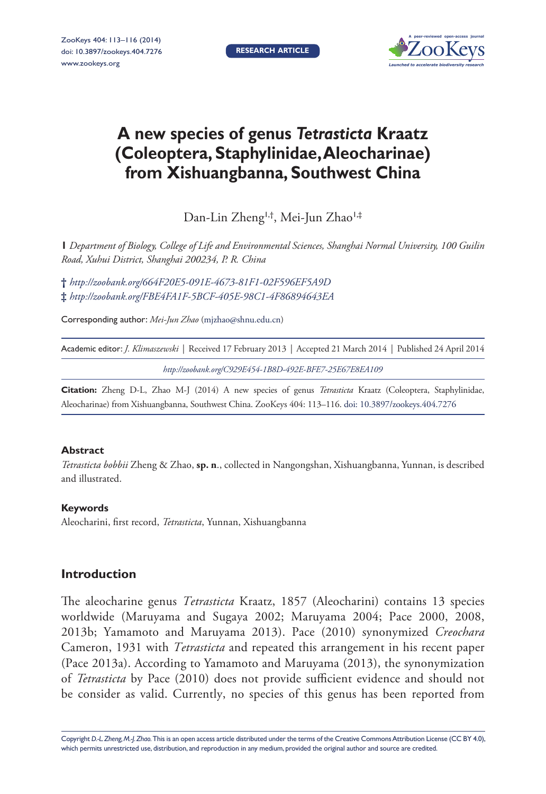**RESEARCH ARTICLE**



# **A new species of genus** *Tetrasticta* **Kraatz (Coleoptera, Staphylinidae, Aleocharinae) from Xishuangbanna, Southwest China**

Dan-Lin Zheng<sup>1,†</sup>, Mei-Jun Zhao<sup>1,‡</sup>

**1** *Department of Biology, College of Life and Environmental Sciences, Shanghai Normal University, 100 Guilin Road, Xuhui District, Shanghai 200234, P. R. China*

**†** *<http://zoobank.org/664F20E5-091E-4673-81F1-02F596EF5A9D>* **‡** *<http://zoobank.org/FBE4FA1F-5BCF-405E-98C1-4F86894643EA>*

Corresponding author: *Mei-Jun Zhao* ([mjzhao@shnu.edu.cn\)](mailto:mjzhao@shnu.edu.cn)

Academic editor: *J. Klimaszewski* | Received 17 February 2013 | Accepted 21 March 2014 | Published 24 April 2014

*<http://zoobank.org/C929E454-1B8D-492E-BFE7-25E67E8EA109>*

**Citation:** Zheng D-L, Zhao M-J (2014) A new species of genus *Tetrasticta* Kraatz (Coleoptera, Staphylinidae, Aleocharinae) from Xishuangbanna, Southwest China. ZooKeys 404: 113–116. [doi: 10.3897/zookeys.404.7276](http://dx.doi.org/10.3897/zookeys.404.7276)

#### **Abstract**

*Tetrasticta bobbii* Zheng & Zhao, **sp. n**., collected in Nangongshan, Xishuangbanna, Yunnan, is described and illustrated.

### **Keywords**

Aleocharini, first record, *Tetrasticta*, Yunnan, Xishuangbanna

## **Introduction**

The aleocharine genus *Tetrasticta* Kraatz, 1857 (Aleocharini) contains 13 species worldwide (Maruyama and Sugaya 2002; Maruyama 2004; Pace 2000, 2008, 2013b; Yamamoto and Maruyama 2013). Pace (2010) synonymized *Creochara* Cameron, 1931 with *Tetrasticta* and repeated this arrangement in his recent paper (Pace 2013a). According to Yamamoto and Maruyama (2013), the synonymization of *Tetrasticta* by Pace (2010) does not provide sufficient evidence and should not be consider as valid. Currently, no species of this genus has been reported from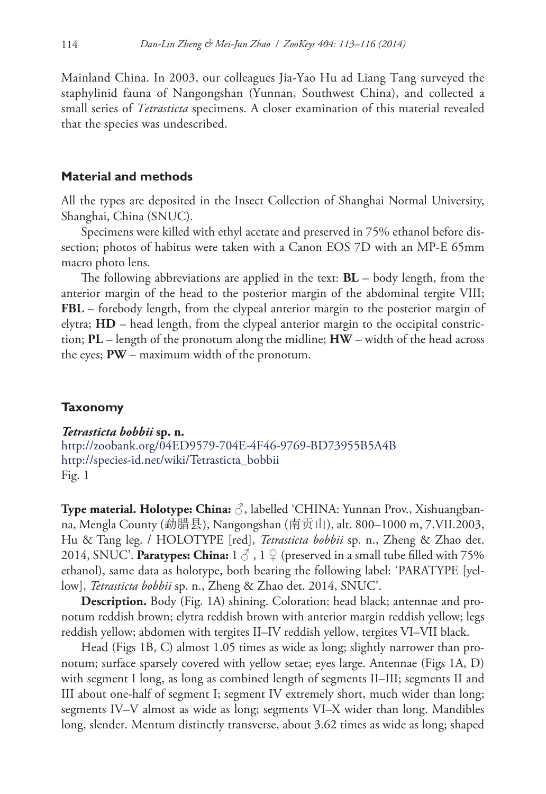Mainland China. In 2003, our colleagues Jia-Yao Hu ad Liang Tang surveyed the staphylinid fauna of Nangongshan (Yunnan, Southwest China), and collected a small series of *Tetrasticta* specimens. A closer examination of this material revealed that the species was undescribed.

#### **Material and methods**

All the types are deposited in the Insect Collection of Shanghai Normal University, Shanghai, China (SNUC).

Specimens were killed with ethyl acetate and preserved in 75% ethanol before dissection; photos of habitus were taken with a Canon EOS 7D with an MP-E 65mm macro photo lens.

The following abbreviations are applied in the text: **BL** – body length, from the anterior margin of the head to the posterior margin of the abdominal tergite VIII; **FBL** – forebody length, from the clypeal anterior margin to the posterior margin of elytra; **HD** – head length, from the clypeal anterior margin to the occipital constriction; **PL** – length of the pronotum along the midline; **HW** – width of the head across the eyes; **PW** – maximum width of the pronotum.

## **Taxonomy**

*Tetrasticta bobbii* **sp. n.** <http://zoobank.org/04ED9579-704E-4F46-9769-BD73955B5A4B>

[http://species-id.net/wiki/Tetrasticta\\_bobbii](http://species-id.net/wiki/Tetrasticta_bobbii) Fig. 1

**Type material. Holotype: China:** ♂, labelled 'CHINA: Yunnan Prov., Xishuangbanna, Mengla County (勐腊县), Nangongshan (南贡山), alt. 800–1000 m, 7.VII.2003, Hu & Tang leg. / HOLOTYPE [red], *Tetrasticta bobbii* sp. n., Zheng & Zhao det. 2014, SNUC'. **Paratypes: China:**  $1 \circledcirc$ ,  $1 \circledcirc$  (preserved in a small tube filled with 75% ethanol), same data as holotype, both bearing the following label: 'PARATYPE [yellow], *Tetrasticta bobbii* sp. n., Zheng & Zhao det. 2014, SNUC'.

**Description.** Body (Fig. 1A) shining. Coloration: head black; antennae and pronotum reddish brown; elytra reddish brown with anterior margin reddish yellow; legs reddish yellow; abdomen with tergites II–IV reddish yellow, tergites VI–VII black.

Head (Figs 1B, C) almost 1.05 times as wide as long; slightly narrower than pronotum; surface sparsely covered with yellow setae; eyes large. Antennae (Figs 1A, D) with segment I long, as long as combined length of segments II–III; segments II and III about one-half of segment I; segment IV extremely short, much wider than long; segments IV–V almost as wide as long; segments VI–X wider than long. Mandibles long, slender. Mentum distinctly transverse, about 3.62 times as wide as long; shaped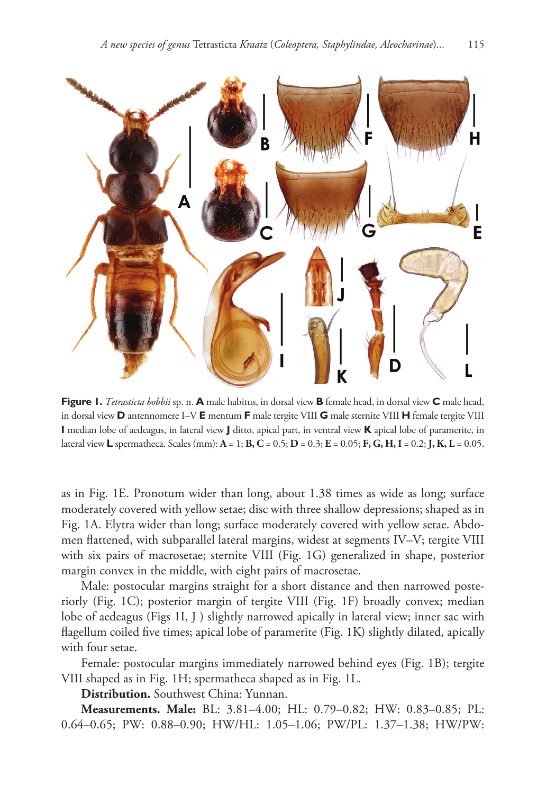

**Figure 1.** *Tetrasticta bobbii* sp. n. **A** male habitus, in dorsal view **B** female head, in dorsal view **C** male head, in dorsal view **D** antennomere I–V **E** mentum **F** male tergite VIII **G** male sternite VIII **H** female tergite VIII **I** median lobe of aedeagus, in lateral view **J** ditto, apical part, in ventral view **K** apical lobe of paramerite, in lateral view **L** spermatheca. Scales (mm): **A** = 1; **B, C** = 0.5; **D** = 0.3; **E** = 0.05; **F, G, H, I** = 0.2; **J, K, L** = 0.05.

as in Fig. 1E. Pronotum wider than long, about 1.38 times as wide as long; surface moderately covered with yellow setae; disc with three shallow depressions; shaped as in Fig. 1A. Elytra wider than long; surface moderately covered with yellow setae. Abdomen flattened, with subparallel lateral margins, widest at segments IV–V; tergite VIII with six pairs of macrosetae; sternite VIII (Fig. 1G) generalized in shape, posterior margin convex in the middle, with eight pairs of macrosetae.

Male: postocular margins straight for a short distance and then narrowed posteriorly (Fig. 1C); posterior margin of tergite VIII (Fig. 1F) broadly convex; median lobe of aedeagus (Figs 1I, J) slightly narrowed apically in lateral view; inner sac with flagellum coiled five times; apical lobe of paramerite (Fig. 1K) slightly dilated, apically with four setae.

Female: postocular margins immediately narrowed behind eyes (Fig. 1B); tergite VIII shaped as in Fig. 1H; spermatheca shaped as in Fig. 1L.

**Distribution.** Southwest China: Yunnan.

**Measurements. Male:** BL: 3.81–4.00; HL: 0.79–0.82; HW: 0.83–0.85; PL: 0.64–0.65; PW: 0.88–0.90; HW/HL: 1.05–1.06; PW/PL: 1.37–1.38; HW/PW: